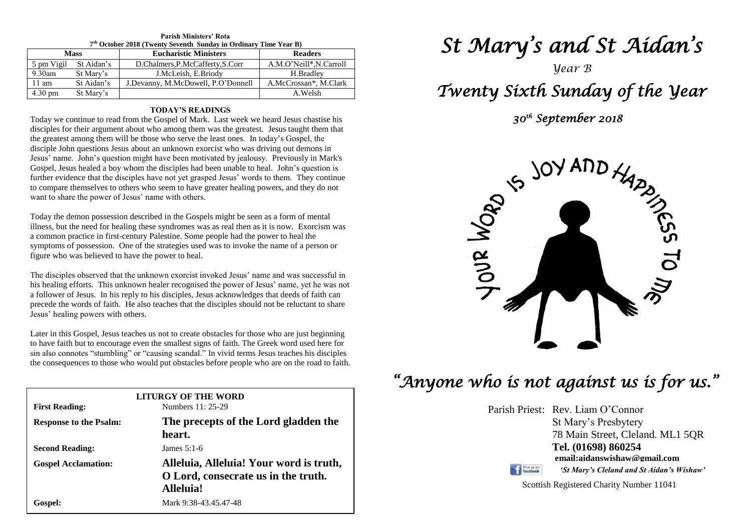| 7 <sup>th</sup> October 2018 (Twenty Seventh Sunday in Ordinary Time Year B) |            |                                    |                         |  |  |  |
|------------------------------------------------------------------------------|------------|------------------------------------|-------------------------|--|--|--|
| <b>Mass</b>                                                                  |            | <b>Eucharistic Ministers</b>       | <b>Readers</b>          |  |  |  |
| 5 pm Vigil                                                                   | St Aidan's | D.Chalmers, P.McCafferty, S.Corr   | A.M.O'Neill*, N.Carroll |  |  |  |
| 9.30am                                                                       | St Mary's  | J.McLeish, E.Briody                | H.Bradlev               |  |  |  |
| $11 \text{ am}$                                                              | St Aidan's | J.Devanny, M.McDowell, P.O'Donnell | A.McCrossan*, M.Clark   |  |  |  |
| $4.30 \text{ pm}$                                                            | St Mary's  |                                    | A.Welsh                 |  |  |  |

## **Parish Ministers' Rota**

## **TODAY'S READINGS**

Today we continue to read from the Gospel of Mark. Last week we heard Jesus chastise his disciples for their argument about who among them was the greatest. Jesus taught them that the greatest among them will be those who serve the least ones. In today's Gospel, the disciple John questions Jesus about an unknown exorcist who was driving out demons in Jesus' name. John's question might have been motivated by jealousy. Previously in Mark's Gospel, Jesus healed a boy whom the disciples had been unable to heal. John's question is further evidence that the disciples have not yet grasped Jesus' words to them. They continue to compare themselves to others who seem to have greater healing powers, and they do not want to share the power of Jesus' name with others.

Today the demon possession described in the Gospels might be seen as a form of mental illness, but the need for healing these syndromes was as real then as it is now. Exorcism was a common practice in first-century Palestine. Some people had the power to heal the symptoms of possession. One of the strategies used was to invoke the name of a person or figure who was believed to have the power to heal.

The disciples observed that the unknown exorcist invoked Jesus' name and was successful in<br>his healing efforts. This unknown healer recognised the power of Jesus' name, yet he was not<br>a following formula bis his disclosed precede the words of faith. He also teaches that the disciples should not be reluctant to share Jesus' healing powers with others. The disciples observed that the unknown exorcist invoked Jesus' name and was successful in a follower of Jesus. In his reply to his disciples, Jesus acknowledges that deeds of faith can Jesus' healing powers with others.

Later in this Gospel, Jesus teaches us not to create obstacles for those who are just beginning<br>to have faith but to encourage even the smallest signs of faith. The Greek word used here for<br>given less connectes "stumbling" the consequences to those who would put obstacles before people who are on the road to faith.<br> Later in this Gospel, Jesus teaches us not to create obstacles for those who are just beginning sin also connotes "stumbling" or "causing scandal." In vivid terms Jesus teaches his disciples

| <b>First Reading:</b>         | <b>LITURGY OF THE WORD</b><br>Numbers 11: 25-29                                             |  |
|-------------------------------|---------------------------------------------------------------------------------------------|--|
| <b>Response to the Psalm:</b> | The precepts of the Lord gladden the<br>heart.                                              |  |
| <b>Second Reading:</b>        | James $5:1-6$                                                                               |  |
| <b>Gospel Acclamation:</b>    | Alleluia, Alleluia! Your word is truth,<br>O Lord, consecrate us in the truth.<br>Alleluia! |  |
| Gospel:                       | Mark 9:38-43.45.47-48                                                                       |  |

# *St Mary's and St Aidan's*

## *Year B Twenty Sixth Sunday of the Year*

 *30th September 2018* 



## *"Anyone who is not against us is for us."*

Parish Priest: Rev. Liam O'Connor St Mary's Presbytery 78 Main Street, Cleland. ML1 5QR **Tel. (01698) 860254 email:aidanswishaw@gmail.com** Find us on *'St Mary's Cleland and St Aidan's Wishaw'*

Scottish Registered Charity Number 11041